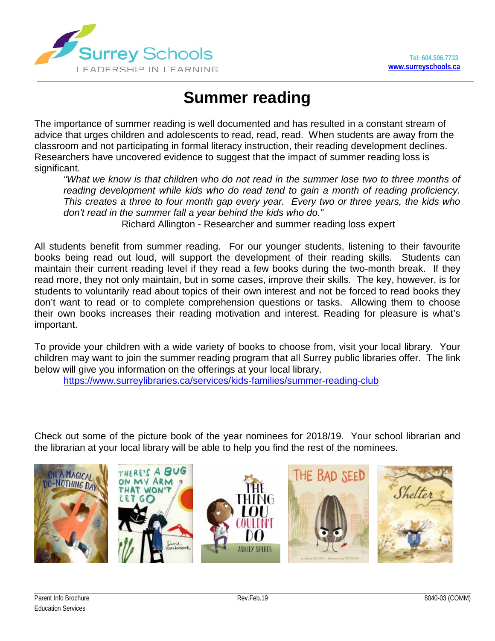

## **Summer reading**

The importance of summer reading is well documented and has resulted in a constant stream of advice that urges children and adolescents to read, read, read. When students are away from the classroom and not participating in formal literacy instruction, their reading development declines. Researchers have uncovered evidence to suggest that the impact of summer reading loss is significant.

*"What we know is that children who do not read in the summer lose two to three months of reading development while kids who do read tend to gain a month of reading proficiency. This creates a three to four month gap every year. Every two or three years, the kids who don't read in the summer fall a year behind the kids who do."*

Richard Allington - Researcher and summer reading loss expert

All students benefit from summer reading. For our younger students, listening to their favourite books being read out loud, will support the development of their reading skills. Students can maintain their current reading level if they read a few books during the two-month break. If they read more, they not only maintain, but in some cases, improve their skills. The key, however, is for students to voluntarily read about topics of their own interest and not be forced to read books they don't want to read or to complete comprehension questions or tasks. Allowing them to choose their own books increases their reading motivation and interest. Reading for pleasure is what's important.

To provide your children with a wide variety of books to choose from, visit your local library. Your children may want to join the summer reading program that all Surrey public libraries offer. The link below will give you information on the offerings at your local library.

<https://www.surreylibraries.ca/services/kids-families/summer-reading-club>

Check out some of the picture book of the year nominees for 2018/19. Your school librarian and the librarian at your local library will be able to help you find the rest of the nominees.

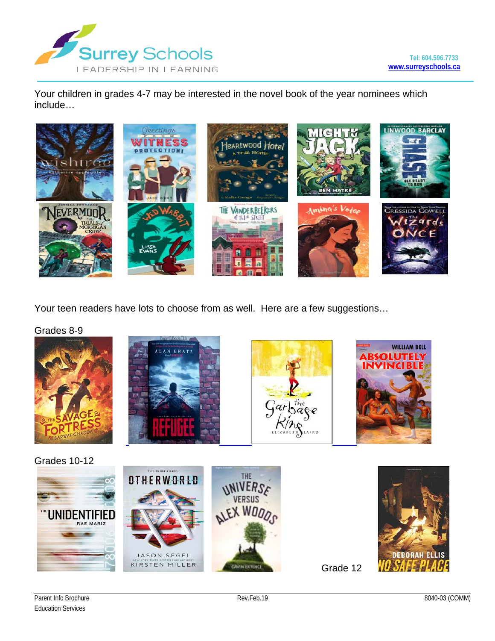

**WILLIAM BELL** 

**ABSOLUTELY<br>INVINCIBLE** 

Your children in grades 4-7 may be interested in the novel book of the year nominees which include…



Your teen readers have lots to choose from as well. Here are a few suggestions…

[Grades 8-9](https://www.google.com/url?sa=i&rct=j&q=&esrc=s&source=images&cd=&ved=2ahUKEwj2hJuB3bngAhWsIDQIHYW5BG8QjRx6BAgBEAU&url=https://www.amazon.ca/Savage-Fortress-Sarwat-Chadda/dp/0545385164&psig=AOvVaw3tg73nPu_25YMVaChjACcn&ust=1550182215667155)





[Grades 10-12](https://www.google.com/imgres?imgurl=http%3A%2F%2Fcoverscans.renlearn.com%2FHighRes%2F9780773674110.jpg&imgrefurl=http%3A%2F%2Fbookextract.renlearn.com%2Fhtml%2F36510-EN.html&docid=5yNWmiNnMKejeM&tbnid=wt5nDDPzvXIqUM%3A&vet=10ahUKEwjFofuC4LngAhUpllQKHahoAIoQMwg_KAQwBA..i&w=230&h=400&itg=1&safe=strict&client=firefox-b-d&bih=865&biw=988&q=absolutely%20invincible&ved=0ahUKEwjFofuC4LngAhUpllQKHahoAIoQMwg_KAQwBA&iact=mrc&uact=8)